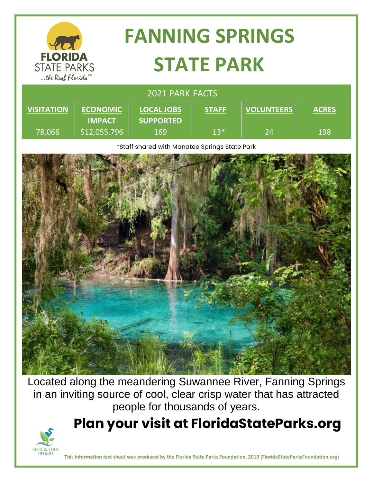| <b>FLORIDA</b><br><b>STATE PARKS</b><br>the Real Florida <sup>SM</sup> |                                  | <b>FANNING SPRINGS</b><br><b>STATE PARK</b> |              |                   |              |
|------------------------------------------------------------------------|----------------------------------|---------------------------------------------|--------------|-------------------|--------------|
| <b>2021 PARK FACTS</b>                                                 |                                  |                                             |              |                   |              |
| <b>VISITATION</b>                                                      | <b>ECONOMIC</b><br><b>IMPACT</b> | <b>LOCAL JOBS</b><br><b>SUPPORTED</b>       | <b>STAFF</b> | <b>VOLUNTEERS</b> | <b>ACRES</b> |
| 78,066                                                                 | \$12,055,796                     | 169                                         | $13*$        | 24                | 198          |

\*Staff shared with Manatee Springs State Park



Located along the meandering Suwannee River, Fanning Springs in an inviting source of cool, clear crisp water that has attracted people for thousands of years.

**Plan your visit at FloridaStateParks.org**